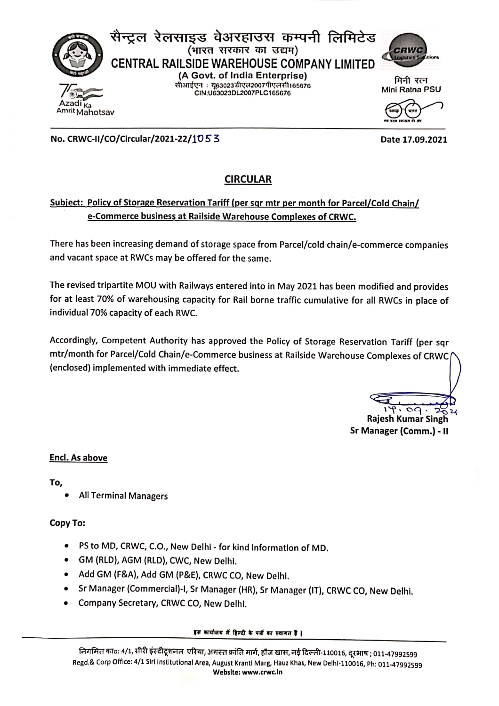

No. CRWC-II/CO/Circular/2021-22/1053

# **CIRCULAR**

# Subject: Policy of Storage Reservation Tariff (per sqr mtr per month for Parcel/Cold Chain/ e-Commerce business at Railside Warehouse Complexes of CRWC.

There has been increasing demand of storage space from Parcel/cold chain/e-commerce companies and vacant space at RWCs may be offered for the same.

The revised tripartite MOU with Railways entered into in May 2021 has been modified and provides for at least 70% of warehousing capacity for Rail borne traffic cumulative for all RWCs in place of individual 70% capacity of each RWC.

Accordingly, Competent Authority has approved the Policy of Storage Reservation Tariff (per sqr mtr/month for Parcel/Cold Chain/e-Commerce business at Railside Warehouse Complexes of CRWC (enclosed) implemented with immediate effect.

 $\overline{\circ}$ Rajesh Kumar Singh

Sr Manager (Comm.) - II

#### **Encl. As above**

To.

**All Terminal Managers** 

### Copy To:

- PS to MD, CRWC, C.O., New Delhi for kind information of MD.
- · GM (RLD), AGM (RLD), CWC, New Delhi.
- Add GM (F&A), Add GM (P&E), CRWC CO, New Delhi.
- Sr Manager (Commercial)-I, Sr Manager (HR), Sr Manager (IT), CRWC CO, New Delhi.
- Company Secretary, CRWC CO, New Delhi.

#### इस कार्यालय में हिन्दी के पत्रों का स्वागत है ।

Date 17.09.2021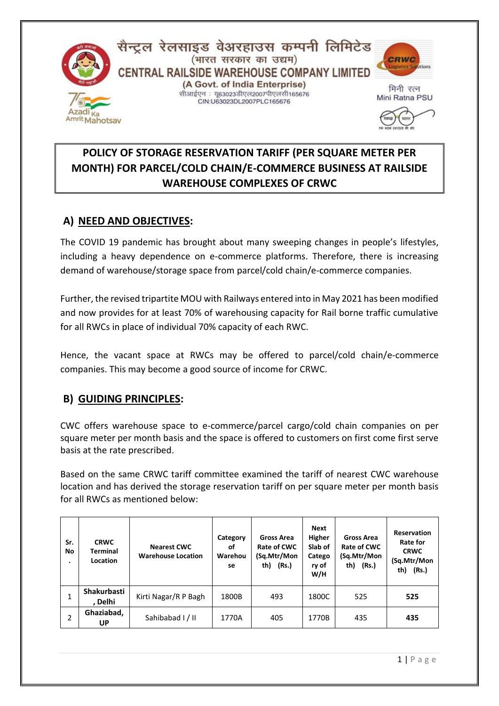

# **POLICY OF STORAGE RESERVATION TARIFF (PER SQUARE METER PER MONTH) FOR PARCEL/COLD CHAIN/E-COMMERCE BUSINESS AT RAILSIDE WAREHOUSE COMPLEXES OF CRWC**

# **A) NEED AND OBJECTIVES:**

The COVID 19 pandemic has brought about many sweeping changes in people's lifestyles, including a heavy dependence on e-commerce platforms. Therefore, there is increasing demand of warehouse/storage space from parcel/cold chain/e-commerce companies.

Further, the revised tripartite MOU with Railways entered into in May 2021 has been modified and now provides for at least 70% of warehousing capacity for Rail borne traffic cumulative for all RWCs in place of individual 70% capacity of each RWC.

Hence, the vacant space at RWCs may be offered to parcel/cold chain/e-commerce companies. This may become a good source of income for CRWC.

# **B) GUIDING PRINCIPLES:**

CWC offers warehouse space to e-commerce/parcel cargo/cold chain companies on per square meter per month basis and the space is offered to customers on first come first serve basis at the rate prescribed.

Based on the same CRWC tariff committee examined the tariff of nearest CWC warehouse location and has derived the storage reservation tariff on per square meter per month basis for all RWCs as mentioned below:

| Sr.<br>No | <b>CRWC</b><br><b>Terminal</b><br>Location | <b>Nearest CWC</b><br><b>Warehouse Location</b> | Category<br>οf<br>Warehou<br>se | Gross Area<br>Rate of CWC<br>(Sq.Mtr/Mon<br>(Rs.)<br>th) | <b>Next</b><br>Higher<br>Slab of<br>Catego<br>ry of<br>W/H | Gross Area<br>Rate of CWC<br>(Sq.Mtr/Mon<br>th) (Rs.) | <b>Reservation</b><br>Rate for<br><b>CRWC</b><br>(Sq.Mtr/Mon<br>th)<br>(Rs.) |
|-----------|--------------------------------------------|-------------------------------------------------|---------------------------------|----------------------------------------------------------|------------------------------------------------------------|-------------------------------------------------------|------------------------------------------------------------------------------|
| 1         | Shakurbasti<br><b>Delhi</b>                | Kirti Nagar/R P Bagh                            | 1800B                           | 493                                                      | 1800C                                                      | 525                                                   | 525                                                                          |
| 2         | Ghaziabad,<br>UP                           | Sahibabad I/II                                  | 1770A                           | 405                                                      | 1770B                                                      | 435                                                   | 435                                                                          |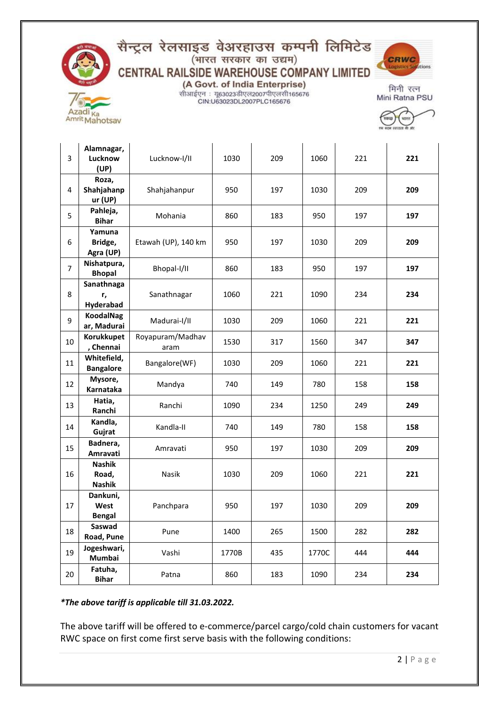

# सैन्ट्रल रेलसाइड वेअरहाउस कम्पनी लिमिटेड<br>(भारत सरकार का उद्यम) CENTRAL RAILSIDE WAREHOUSE COMPANY LIMITED



(A Govt. of India Enterprise) सीआईएन : यू63023डीएल2007पीएलसी165676 CIN:U63023DL2007PLC165676

मिनी रत्न Mini Ratna PSU

| 3              | Alamnagar,<br>Lucknow<br>(UP)           | Lucknow-I/II             | 1030  | 209 | 1060  | 221 | 221 |
|----------------|-----------------------------------------|--------------------------|-------|-----|-------|-----|-----|
| 4              | Roza,<br>Shahjahanp<br>ur(UP)           | Shahjahanpur             | 950   | 197 | 1030  | 209 | 209 |
| 5              | Pahleja,<br><b>Bihar</b>                | Mohania                  | 860   | 183 | 950   | 197 | 197 |
| 6              | Yamuna<br>Bridge,<br>Agra (UP)          | Etawah (UP), 140 km      | 950   | 197 | 1030  | 209 | 209 |
| $\overline{7}$ | Nishatpura,<br><b>Bhopal</b>            | Bhopal-I/II              | 860   | 183 | 950   | 197 | 197 |
| 8              | Sanathnaga<br>r,<br>Hyderabad           | Sanathnagar              | 1060  | 221 | 1090  | 234 | 234 |
| 9              | <b>KoodalNag</b><br>ar, Madurai         | Madurai-I/II             | 1030  | 209 | 1060  | 221 | 221 |
| 10             | <b>Korukkupet</b><br>, Chennai          | Royapuram/Madhav<br>aram | 1530  | 317 | 1560  | 347 | 347 |
| 11             | Whitefield,<br><b>Bangalore</b>         | Bangalore(WF)            | 1030  | 209 | 1060  | 221 | 221 |
| 12             | Mysore,<br>Karnataka                    | Mandya                   | 740   | 149 | 780   | 158 | 158 |
| 13             | Hatia,<br>Ranchi                        | Ranchi                   | 1090  | 234 | 1250  | 249 | 249 |
| 14             | Kandla,<br>Gujrat                       | Kandla-II                | 740   | 149 | 780   | 158 | 158 |
| 15             | Badnera,<br>Amravati                    | Amravati                 | 950   | 197 | 1030  | 209 | 209 |
| 16             | <b>Nashik</b><br>Road,<br><b>Nashik</b> | Nasik                    | 1030  | 209 | 1060  | 221 | 221 |
| 17             | Dankuni,<br>West<br><b>Bengal</b>       | Panchpara                | 950   | 197 | 1030  | 209 | 209 |
| 18             | Saswad<br>Road, Pune                    | Pune                     | 1400  | 265 | 1500  | 282 | 282 |
| 19             | Jogeshwari,<br>Mumbai                   | Vashi                    | 1770B | 435 | 1770C | 444 | 444 |
| 20             | Fatuha,<br><b>Bihar</b>                 | Patna                    | 860   | 183 | 1090  | 234 | 234 |

#### *\*The above tariff is applicable till 31.03.2022.*

The above tariff will be offered to e-commerce/parcel cargo/cold chain customers for vacant RWC space on first come first serve basis with the following conditions: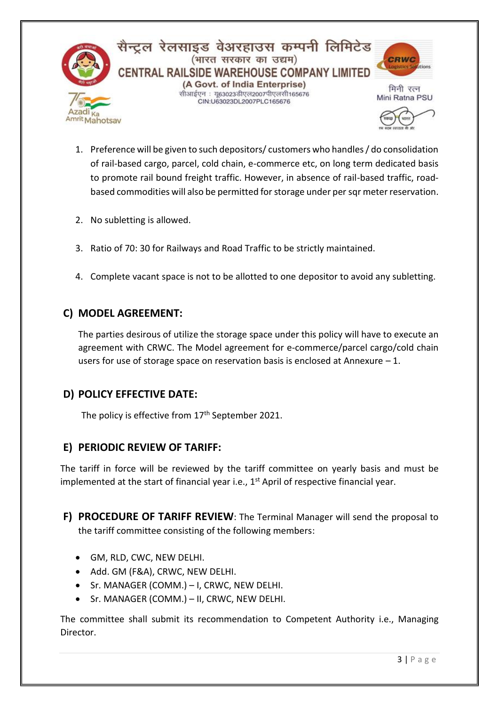

सैन्ट्रल रेलसाइड वेअरहाउस कम्पनी लिमिटेड (भारत सरकार का उद्यम) CENTRAL RAILSIDE WAREHOUSE COMPANY LIMITED (A Govt. of India Enterprise) सीआईएन : य63023डीएल2007पीएलसी165676 CIN:U63023DL2007PLC165676



मिनी रत्न Mini Ratna PSU



- 1. Preference will be given to such depositors/ customers who handles / do consolidation of rail-based cargo, parcel, cold chain, e-commerce etc, on long term dedicated basis to promote rail bound freight traffic. However, in absence of rail-based traffic, roadbased commodities will also be permitted for storage under per sqr meter reservation.
- 2. No subletting is allowed.
- 3. Ratio of 70: 30 for Railways and Road Traffic to be strictly maintained.
- 4. Complete vacant space is not to be allotted to one depositor to avoid any subletting.

# **C) MODEL AGREEMENT:**

The parties desirous of utilize the storage space under this policy will have to execute an agreement with CRWC. The Model agreement for e-commerce/parcel cargo/cold chain users for use of storage space on reservation basis is enclosed at Annexure  $-1$ .

# **D) POLICY EFFECTIVE DATE:**

The policy is effective from 17<sup>th</sup> September 2021.

# **E) PERIODIC REVIEW OF TARIFF:**

The tariff in force will be reviewed by the tariff committee on yearly basis and must be implemented at the start of financial year i.e., 1<sup>st</sup> April of respective financial year.

- **F) PROCEDURE OF TARIFF REVIEW**: The Terminal Manager will send the proposal to the tariff committee consisting of the following members:
	- GM, RLD, CWC, NEW DELHI.
	- Add. GM (F&A), CRWC, NEW DELHI.
	- Sr. MANAGER (COMM.) I, CRWC, NEW DELHI.
	- Sr. MANAGER (COMM.) II, CRWC, NEW DELHI.

The committee shall submit its recommendation to Competent Authority i.e., Managing Director.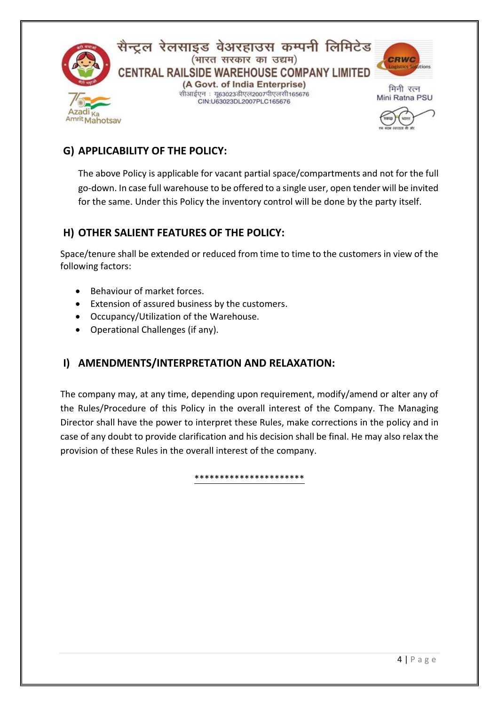

सैन्ट्रल रेलसाइड वेअरहाउस कम्पनी लिमिटेड (भारत सरकार का उद्यम) CENTRAL RAILSIDE WAREHOUSE COMPANY LIMITED (A Govt. of India Enterprise) सीआईएन : यू63023डीएल2007पीएलसी165676 CIN:U63023DL2007PLC165676



मिनी रत्न Mini Ratna PSU



# **G) APPLICABILITY OF THE POLICY:**

The above Policy is applicable for vacant partial space/compartments and not for the full go-down. In case full warehouse to be offered to a single user, open tender will be invited for the same. Under this Policy the inventory control will be done by the party itself.

# **H) OTHER SALIENT FEATURES OF THE POLICY:**

Space/tenure shall be extended or reduced from time to time to the customers in view of the following factors:

- Behaviour of market forces.
- Extension of assured business by the customers.
- Occupancy/Utilization of the Warehouse.
- Operational Challenges (if any).

# **I) AMENDMENTS/INTERPRETATION AND RELAXATION:**

The company may, at any time, depending upon requirement, modify/amend or alter any of the Rules/Procedure of this Policy in the overall interest of the Company. The Managing Director shall have the power to interpret these Rules, make corrections in the policy and in case of any doubt to provide clarification and his decision shall be final. He may also relax the provision of these Rules in the overall interest of the company.

\*\*\*\*\*\*\*\*\*\*\*\*\*\*\*\*\*\*\*\*\*\*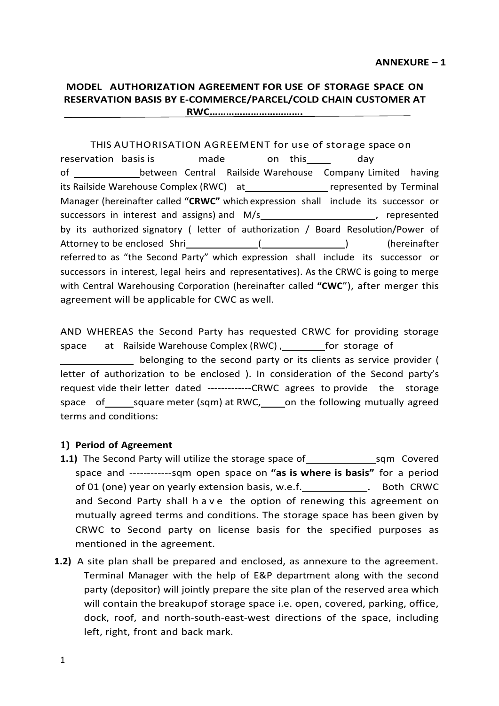# **MODEL AUTHORIZATION AGREEMENT FOR USE OF STORAGE SPACE ON RESERVATION BASIS BY E-COMMERCE/PARCEL/COLD CHAIN CUSTOMER AT**

**RWC…………………………….**

#### THIS AUTHORISATION AGREEMENT for use of storage space on

reservation basis is made on this and day of \_\_\_\_\_\_\_\_\_\_\_\_\_\_\_\_between Central Railside Warehouse Company Limited having its Railside Warehouse Complex (RWC) at represented by Terminal Manager (hereinafter called **"CRWC"** which expression shall include its successor or successors in interest and assigns) and M/s and  $\frac{1}{2}$  , represented by its authorized signatory ( letter of authorization / Board Resolution/Power of Attorney to be enclosed Shri (Changel School (Changel School (changel School School School School School School School School School School School School School School School School School School School School School Schoo referred to as "the Second Party" which expression shall include its successor or successors in interest, legal heirs and representatives). As the CRWC is going to merge with Central Warehousing Corporation (hereinafter called **"CWC**"), after merger this agreement will be applicable for CWC as well.

AND WHEREAS the Second Party has requested CRWC for providing storage space at Railside Warehouse Complex (RWC), \_\_\_\_\_\_\_\_for storage of belonging to the second party or its clients as service provider ( letter of authorization to be enclosed ). In consideration of the Second party's request vide their letter dated -------------CRWC agrees to provide the storage space of square meter (sqm) at RWC, on the following mutually agreed terms and conditions:

#### **1) Period of Agreement**

- **1.1)** The Second Party will utilize the storage space of sqm Covered space and ------------sqm open space on **"as is where is basis"** for a period of 01 (one) year on yearly extension basis, w.e.f. \_\_\_\_\_\_\_\_\_\_\_\_. Both CRWC and Second Party shall h a v e the option of renewing this agreement on mutually agreed terms and conditions. The storage space has been given by CRWC to Second party on license basis for the specified purposes as mentioned in the agreement.
- **1.2)** A site plan shall be prepared and enclosed, as annexure to the agreement. Terminal Manager with the help of E&P department along with the second party (depositor) will jointly prepare the site plan of the reserved area which will contain the breakupof storage space i.e. open, covered, parking, office, dock, roof, and north-south-east-west directions of the space, including left, right, front and back mark.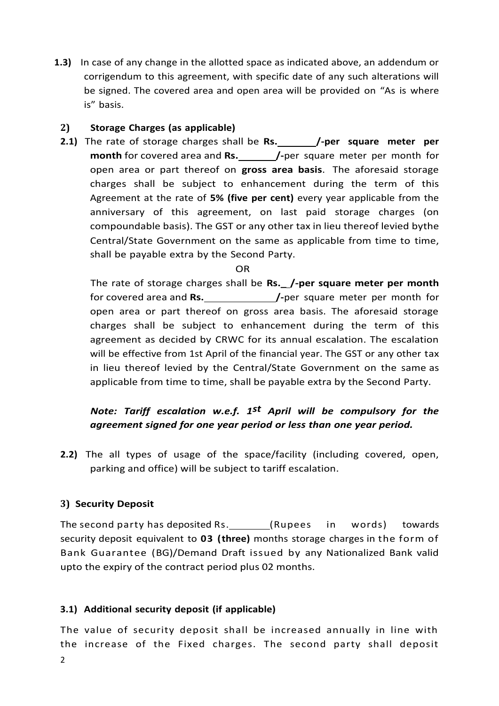**1.3)** In case of any change in the allotted space as indicated above, an addendum or corrigendum to this agreement, with specific date of any such alterations will be signed. The covered area and open area will be provided on "As is where is" basis.

#### **2) Storage Charges (as applicable)**

**2.1)** The rate of storage charges shall be **Rs. /-per square meter per month** for covered area and **Rs. /-**per square meter per month for open area or part thereof on **gross area basis**. The aforesaid storage charges shall be subject to enhancement during the term of this Agreement at the rate of **5% (five per cent)** every year applicable from the anniversary of this agreement, on last paid storage charges (on compoundable basis). The GST or any other tax in lieu thereof levied bythe Central/State Government on the same as applicable from time to time, shall be payable extra by the Second Party.

OR

The rate of storage charges shall be **Rs.\_ /-per square meter per month** for covered area and **Rs. /-**per square meter per month for open area or part thereof on gross area basis. The aforesaid storage charges shall be subject to enhancement during the term of this agreement as decided by CRWC for its annual escalation. The escalation will be effective from 1st April of the financial year. The GST or any other tax in lieu thereof levied by the Central/State Government on the same as applicable from time to time, shall be payable extra by the Second Party.

# *Note: Tariff escalation w.e.f. 1st April will be compulsory for the agreement signed for one year period or less than one year period.*

**2.2)** The all types of usage of the space/facility (including covered, open, parking and office) will be subject to tariff escalation.

### **3) Security Deposit**

The second party has deposited Rs. \_\_\_\_\_\_\_\_(Rupees in words) towards security deposit equivalent to **03 (three)** months storage charges in the form of Bank Guarantee (BG)/Demand Draft issued by any Nationalized Bank valid upto the expiry of the contract period plus 02 months.

### **3.1) Additional security deposit (if applicable)**

The value of security deposit shall be increased annually in line with the increase of the Fixed charges. The second party shall deposit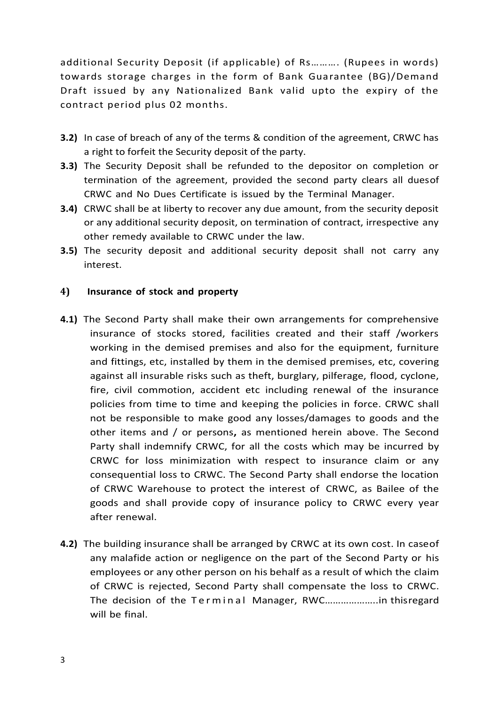additional Security Deposit (if applicable) of Rs………. (Rupees in words) towards storage charges in the form of Bank Guarantee (BG)/Demand Draft issued by any Nationalized Bank valid upto the expiry of the contract period plus 02 months.

- **3.2)** In case of breach of any of the terms & condition of the agreement, CRWC has a right to forfeit the Security deposit of the party.
- **3.3)** The Security Deposit shall be refunded to the depositor on completion or termination of the agreement, provided the second party clears all duesof CRWC and No Dues Certificate is issued by the Terminal Manager.
- **3.4)** CRWC shall be at liberty to recover any due amount, from the security deposit or any additional security deposit, on termination of contract, irrespective any other remedy available to CRWC under the law.
- **3.5)** The security deposit and additional security deposit shall not carry any interest.

#### **4) Insurance of stock and property**

- **4.1)** The Second Party shall make their own arrangements for comprehensive insurance of stocks stored, facilities created and their staff /workers working in the demised premises and also for the equipment, furniture and fittings, etc, installed by them in the demised premises, etc, covering against all insurable risks such as theft, burglary, pilferage, flood, cyclone, fire, civil commotion, accident etc including renewal of the insurance policies from time to time and keeping the policies in force. CRWC shall not be responsible to make good any losses/damages to goods and the other items and / or persons**,** as mentioned herein above. The Second Party shall indemnify CRWC, for all the costs which may be incurred by CRWC for loss minimization with respect to insurance claim or any consequential loss to CRWC. The Second Party shall endorse the location of CRWC Warehouse to protect the interest of CRWC, as Bailee of the goods and shall provide copy of insurance policy to CRWC every year after renewal.
- **4.2)** The building insurance shall be arranged by CRWC at its own cost. In caseof any malafide action or negligence on the part of the Second Party or his employees or any other person on his behalf as a result of which the claim of CRWC is rejected, Second Party shall compensate the loss to CRWC. The decision of the Terminal Manager, RWC......................... thisregard will be final.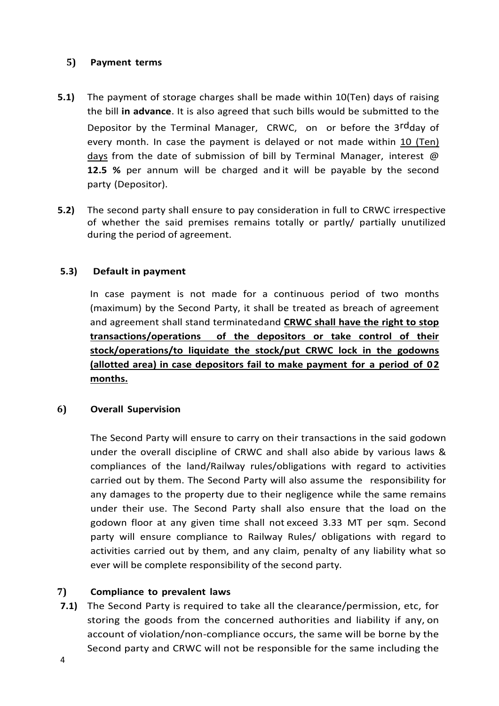#### **5) Payment terms**

- **5.1)** The payment of storage charges shall be made within 10(Ten) days of raising the bill **in advance**. It is also agreed that such bills would be submitted to the Depositor by the Terminal Manager, CRWC, on or before the 3<sup>rd</sup>day of every month. In case the payment is delayed or not made within 10 (Ten) days from the date of submission of bill by Terminal Manager, interest @ **12.5 %** per annum will be charged and it will be payable by the second party (Depositor).
- **5.2)** The second party shall ensure to pay consideration in full to CRWC irrespective of whether the said premises remains totally or partly/ partially unutilized during the period of agreement.

### **5.3) Default in payment**

In case payment is not made for a continuous period of two months (maximum) by the Second Party, it shall be treated as breach of agreement and agreement shall stand terminatedand **CRWC shall have the right to stop transactions/operations of the depositors or take control of their stock/operations/to liquidate the stock/put CRWC lock in the godowns (allotted area) in case depositors fail to make payment for a period of 02 months.**

### **6) Overall Supervision**

The Second Party will ensure to carry on their transactions in the said godown under the overall discipline of CRWC and shall also abide by various laws & compliances of the land/Railway rules/obligations with regard to activities carried out by them. The Second Party will also assume the responsibility for any damages to the property due to their negligence while the same remains under their use. The Second Party shall also ensure that the load on the godown floor at any given time shall not exceed 3.33 MT per sqm. Second party will ensure compliance to Railway Rules/ obligations with regard to activities carried out by them, and any claim, penalty of any liability what so ever will be complete responsibility of the second party.

### **7) Compliance to prevalent laws**

**7.1)** The Second Party is required to take all the clearance/permission, etc, for storing the goods from the concerned authorities and liability if any, on account of violation/non-compliance occurs, the same will be borne by the Second party and CRWC will not be responsible for the same including the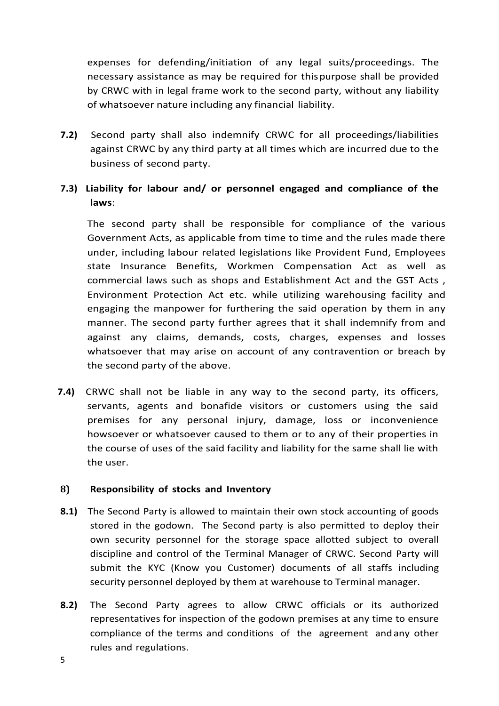expenses for defending/initiation of any legal suits/proceedings. The necessary assistance as may be required for thispurpose shall be provided by CRWC with in legal frame work to the second party, without any liability of whatsoever nature including any financial liability.

**7.2)** Second party shall also indemnify CRWC for all proceedings/liabilities against CRWC by any third party at all times which are incurred due to the business of second party.

# **7.3) Liability for labour and/ or personnel engaged and compliance of the laws**:

The second party shall be responsible for compliance of the various Government Acts, as applicable from time to time and the rules made there under, including labour related legislations like Provident Fund, Employees state Insurance Benefits, Workmen Compensation Act as well as commercial laws such as shops and Establishment Act and the GST Acts , Environment Protection Act etc. while utilizing warehousing facility and engaging the manpower for furthering the said operation by them in any manner. The second party further agrees that it shall indemnify from and against any claims, demands, costs, charges, expenses and losses whatsoever that may arise on account of any contravention or breach by the second party of the above.

**7.4)** CRWC shall not be liable in any way to the second party, its officers, servants, agents and bonafide visitors or customers using the said premises for any personal injury, damage, loss or inconvenience howsoever or whatsoever caused to them or to any of their properties in the course of uses of the said facility and liability for the same shall lie with the user.

#### **8) Responsibility of stocks and Inventory**

- **8.1)** The Second Party is allowed to maintain their own stock accounting of goods stored in the godown. The Second party is also permitted to deploy their own security personnel for the storage space allotted subject to overall discipline and control of the Terminal Manager of CRWC. Second Party will submit the KYC (Know you Customer) documents of all staffs including security personnel deployed by them at warehouse to Terminal manager.
- **8.2)** The Second Party agrees to allow CRWC officials or its authorized representatives for inspection of the godown premises at any time to ensure compliance of the terms and conditions of the agreement andany other rules and regulations.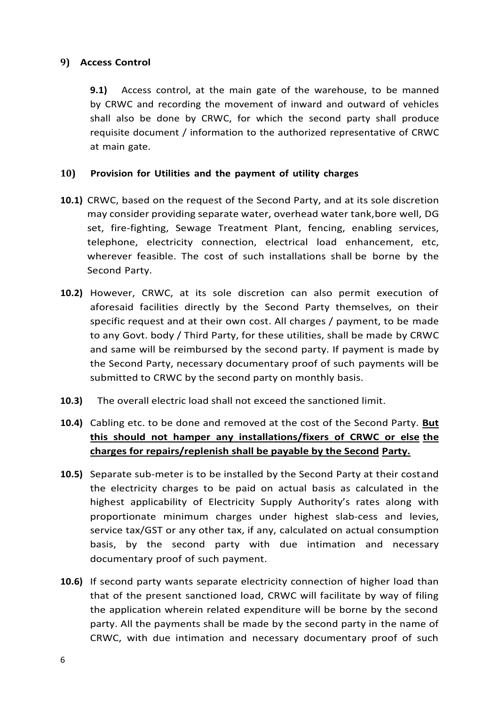#### **9) Access Control**

**9.1)** Access control, at the main gate of the warehouse, to be manned by CRWC and recording the movement of inward and outward of vehicles shall also be done by CRWC, for which the second party shall produce requisite document / information to the authorized representative of CRWC at main gate.

#### **10) Provision for Utilities and the payment of utility charges**

- **10.1)** CRWC, based on the request of the Second Party, and at its sole discretion may consider providing separate water, overhead water tank,bore well, DG set, fire-fighting, Sewage Treatment Plant, fencing, enabling services, telephone, electricity connection, electrical load enhancement, etc, wherever feasible. The cost of such installations shall be borne by the Second Party.
- **10.2)** However, CRWC, at its sole discretion can also permit execution of aforesaid facilities directly by the Second Party themselves, on their specific request and at their own cost. All charges / payment, to be made to any Govt. body / Third Party, for these utilities, shall be made by CRWC and same will be reimbursed by the second party. If payment is made by the Second Party, necessary documentary proof of such payments will be submitted to CRWC by the second party on monthly basis.
- **10.3)** The overall electric load shall not exceed the sanctioned limit.
- **10.4)** Cabling etc. to be done and removed at the cost of the Second Party. **But this should not hamper any installations/fixers of CRWC or else the charges for repairs/replenish shall be payable by the Second Party.**
- **10.5)** Separate sub-meter is to be installed by the Second Party at their costand the electricity charges to be paid on actual basis as calculated in the highest applicability of Electricity Supply Authority's rates along with proportionate minimum charges under highest slab-cess and levies, service tax/GST or any other tax, if any, calculated on actual consumption basis, by the second party with due intimation and necessary documentary proof of such payment.
- **10.6)** If second party wants separate electricity connection of higher load than that of the present sanctioned load, CRWC will facilitate by way of filing the application wherein related expenditure will be borne by the second party. All the payments shall be made by the second party in the name of CRWC, with due intimation and necessary documentary proof of such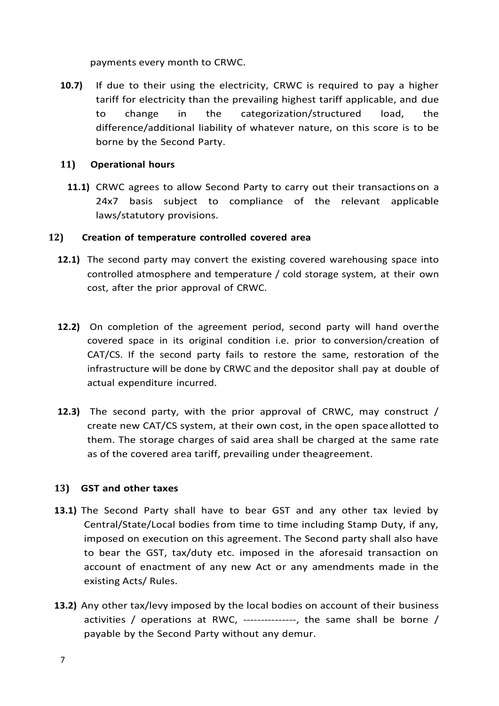payments every month to CRWC.

**10.7)** If due to their using the electricity, CRWC is required to pay a higher tariff for electricity than the prevailing highest tariff applicable, and due to change in the categorization/structured load, the difference/additional liability of whatever nature, on this score is to be borne by the Second Party.

#### **11) Operational hours**

**11.1)** CRWC agrees to allow Second Party to carry out their transactions on a 24x7 basis subject to compliance of the relevant applicable laws/statutory provisions.

#### **12) Creation of temperature controlled covered area**

- **12.1)** The second party may convert the existing covered warehousing space into controlled atmosphere and temperature / cold storage system, at their own cost, after the prior approval of CRWC.
- **12.2)** On completion of the agreement period, second party will hand overthe covered space in its original condition i.e. prior to conversion/creation of CAT/CS. If the second party fails to restore the same, restoration of the infrastructure will be done by CRWC and the depositor shall pay at double of actual expenditure incurred.
- **12.3)** The second party, with the prior approval of CRWC, may construct / create new CAT/CS system, at their own cost, in the open space allotted to them. The storage charges of said area shall be charged at the same rate as of the covered area tariff, prevailing under theagreement.

### **13) GST and other taxes**

- **13.1)** The Second Party shall have to bear GST and any other tax levied by Central/State/Local bodies from time to time including Stamp Duty, if any, imposed on execution on this agreement. The Second party shall also have to bear the GST, tax/duty etc. imposed in the aforesaid transaction on account of enactment of any new Act or any amendments made in the existing Acts/ Rules.
- **13.2)** Any other tax/levy imposed by the local bodies on account of their business activities / operations at RWC, ---------------, the same shall be borne / payable by the Second Party without any demur.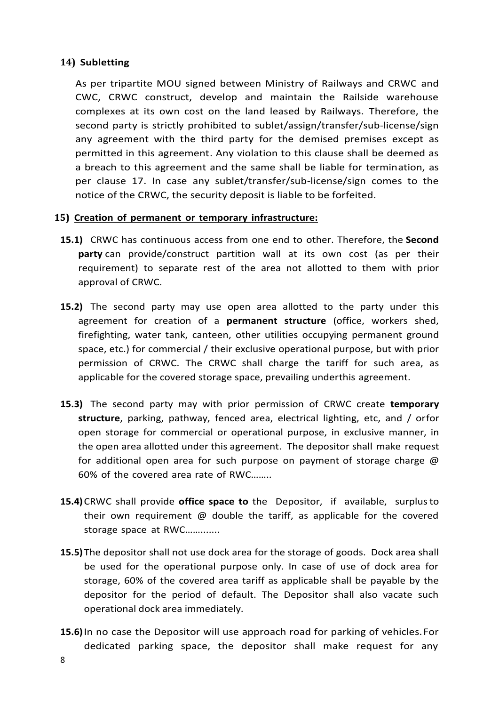#### **14) Subletting**

As per tripartite MOU signed between Ministry of Railways and CRWC and CWC, CRWC construct, develop and maintain the Railside warehouse complexes at its own cost on the land leased by Railways. Therefore, the second party is strictly prohibited to sublet/assign/transfer/sub-license/sign any agreement with the third party for the demised premises except as permitted in this agreement. Any violation to this clause shall be deemed as a breach to this agreement and the same shall be liable for termination, as per clause 17. In case any sublet/transfer/sub-license/sign comes to the notice of the CRWC, the security deposit is liable to be forfeited.

#### **15) Creation of permanent or temporary infrastructure:**

- **15.1)** CRWC has continuous access from one end to other. Therefore, the **Second party** can provide/construct partition wall at its own cost (as per their requirement) to separate rest of the area not allotted to them with prior approval of CRWC.
- **15.2)** The second party may use open area allotted to the party under this agreement for creation of a **permanent structure** (office, workers shed, firefighting, water tank, canteen, other utilities occupying permanent ground space, etc.) for commercial / their exclusive operational purpose, but with prior permission of CRWC. The CRWC shall charge the tariff for such area, as applicable for the covered storage space, prevailing underthis agreement.
- **15.3)** The second party may with prior permission of CRWC create **temporary structure**, parking, pathway, fenced area, electrical lighting, etc, and / orfor open storage for commercial or operational purpose, in exclusive manner, in the open area allotted under this agreement. The depositor shall make request for additional open area for such purpose on payment of storage charge @ 60% of the covered area rate of RWC……..
- **15.4)**CRWC shall provide **office space to** the Depositor, if available, surplusto their own requirement @ double the tariff, as applicable for the covered storage space at RWC…….......
- **15.5)** The depositor shall not use dock area for the storage of goods. Dock area shall be used for the operational purpose only. In case of use of dock area for storage, 60% of the covered area tariff as applicable shall be payable by the depositor for the period of default. The Depositor shall also vacate such operational dock area immediately.
- **15.6)**In no case the Depositor will use approach road for parking of vehicles.For dedicated parking space, the depositor shall make request for any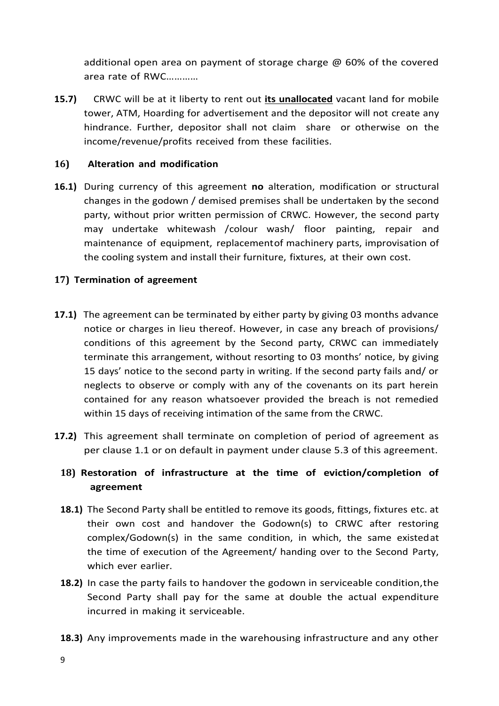additional open area on payment of storage charge @ 60% of the covered area rate of RWC…………

**15.7)** CRWC will be at it liberty to rent out **its unallocated** vacant land for mobile tower, ATM, Hoarding for advertisement and the depositor will not create any hindrance. Further, depositor shall not claim share or otherwise on the income/revenue/profits received from these facilities.

#### **16) Alteration and modification**

**16.1)** During currency of this agreement **no** alteration, modification or structural changes in the godown / demised premises shall be undertaken by the second party, without prior written permission of CRWC. However, the second party may undertake whitewash /colour wash/ floor painting, repair and maintenance of equipment, replacementof machinery parts, improvisation of the cooling system and install their furniture, fixtures, at their own cost.

### **17) Termination of agreement**

- **17.1)** The agreement can be terminated by either party by giving 03 months advance notice or charges in lieu thereof. However, in case any breach of provisions/ conditions of this agreement by the Second party, CRWC can immediately terminate this arrangement, without resorting to 03 months' notice, by giving 15 days' notice to the second party in writing. If the second party fails and/ or neglects to observe or comply with any of the covenants on its part herein contained for any reason whatsoever provided the breach is not remedied within 15 days of receiving intimation of the same from the CRWC.
- **17.2)** This agreement shall terminate on completion of period of agreement as per clause 1.1 or on default in payment under clause 5.3 of this agreement.

# **18) Restoration of infrastructure at the time of eviction/completion of agreement**

- **18.1)** The Second Party shall be entitled to remove its goods, fittings, fixtures etc. at their own cost and handover the Godown(s) to CRWC after restoring complex/Godown(s) in the same condition, in which, the same existedat the time of execution of the Agreement/ handing over to the Second Party, which ever earlier.
- **18.2)** In case the party fails to handover the godown in serviceable condition,the Second Party shall pay for the same at double the actual expenditure incurred in making it serviceable.
- **18.3)** Any improvements made in the warehousing infrastructure and any other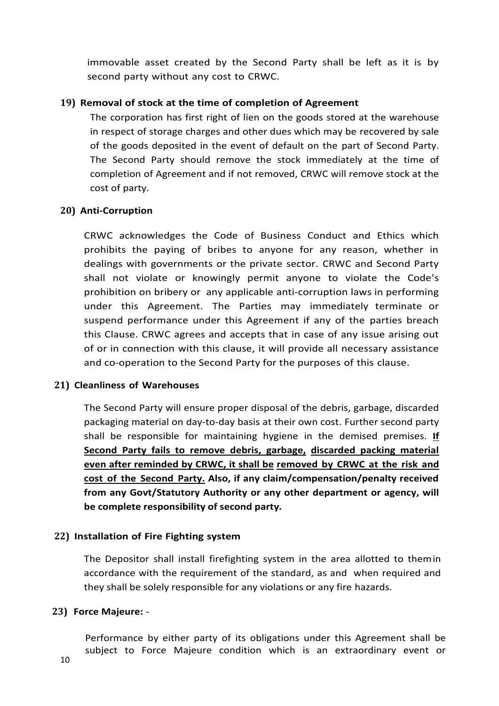immovable asset created by the Second Party shall be left as it is by second party without any cost to CRWC.

#### **19) Removal of stock at the time of completion of Agreement**

The corporation has first right of lien on the goods stored at the warehouse in respect of storage charges and other dues which may be recovered by sale of the goods deposited in the event of default on the part of Second Party. The Second Party should remove the stock immediately at the time of completion of Agreement and if not removed, CRWC will remove stock at the cost of party.

#### **20) Anti-Corruption**

CRWC acknowledges the Code of Business Conduct and Ethics which prohibits the paying of bribes to anyone for any reason, whether in dealings with governments or the private sector. CRWC and Second Party shall not violate or knowingly permit anyone to violate the Code's prohibition on bribery or any applicable anti-corruption laws in performing under this Agreement. The Parties may immediately terminate or suspend performance under this Agreement if any of the parties breach this Clause. CRWC agrees and accepts that in case of any issue arising out of or in connection with this clause, it will provide all necessary assistance and co-operation to the Second Party for the purposes of this clause.

#### **21) Cleanliness of Warehouses**

The Second Party will ensure proper disposal of the debris, garbage, discarded packaging material on day-to-day basis at their own cost. Further second party shall be responsible for maintaining hygiene in the demised premises. **If Second Party fails to remove debris, garbage, discarded packing material even after reminded by CRWC, it shall be removed by CRWC at the risk and cost of the Second Party. Also, if any claim/compensation/penalty received from any Govt/Statutory Authority or any other department or agency, will be complete responsibility of second party.**

#### **22) Installation of Fire Fighting system**

The Depositor shall install firefighting system in the area allotted to themin accordance with the requirement of the standard, as and when required and they shall be solely responsible for any violations or any fire hazards.

#### **23) Force Majeure:** -

Performance by either party of its obligations under this Agreement shall be subject to Force Majeure condition which is an extraordinary event or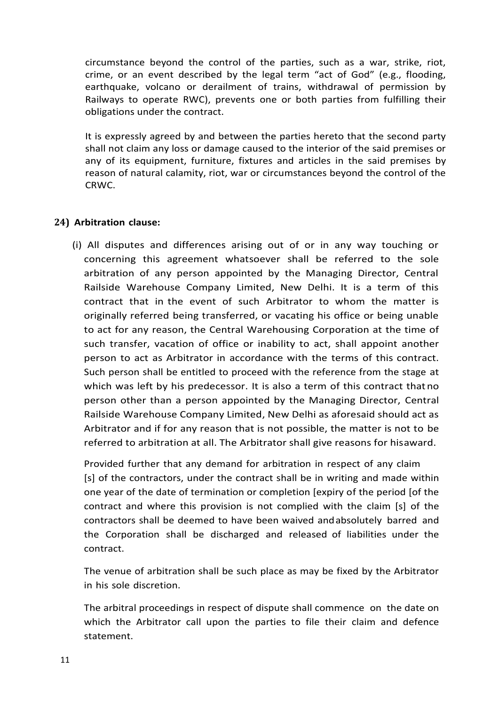circumstance beyond the control of the parties, such as a war, strike, riot, crime, or an event described by the legal term "act of God" (e.g., flooding, earthquake, volcano or derailment of trains, withdrawal of permission by Railways to operate RWC), prevents one or both parties from fulfilling their obligations under the contract.

It is expressly agreed by and between the parties hereto that the second party shall not claim any loss or damage caused to the interior of the said premises or any of its equipment, furniture, fixtures and articles in the said premises by reason of natural calamity, riot, war or circumstances beyond the control of the CRWC.

#### **24) Arbitration clause:**

(i) All disputes and differences arising out of or in any way touching or concerning this agreement whatsoever shall be referred to the sole arbitration of any person appointed by the Managing Director, Central Railside Warehouse Company Limited, New Delhi. It is a term of this contract that in the event of such Arbitrator to whom the matter is originally referred being transferred, or vacating his office or being unable to act for any reason, the Central Warehousing Corporation at the time of such transfer, vacation of office or inability to act, shall appoint another person to act as Arbitrator in accordance with the terms of this contract. Such person shall be entitled to proceed with the reference from the stage at which was left by his predecessor. It is also a term of this contract that no person other than a person appointed by the Managing Director, Central Railside Warehouse Company Limited, New Delhi as aforesaid should act as Arbitrator and if for any reason that is not possible, the matter is not to be referred to arbitration at all. The Arbitrator shall give reasons for hisaward.

Provided further that any demand for arbitration in respect of any claim [s] of the contractors, under the contract shall be in writing and made within one year of the date of termination or completion [expiry of the period [of the contract and where this provision is not complied with the claim [s] of the contractors shall be deemed to have been waived andabsolutely barred and the Corporation shall be discharged and released of liabilities under the contract.

The venue of arbitration shall be such place as may be fixed by the Arbitrator in his sole discretion.

The arbitral proceedings in respect of dispute shall commence on the date on which the Arbitrator call upon the parties to file their claim and defence statement.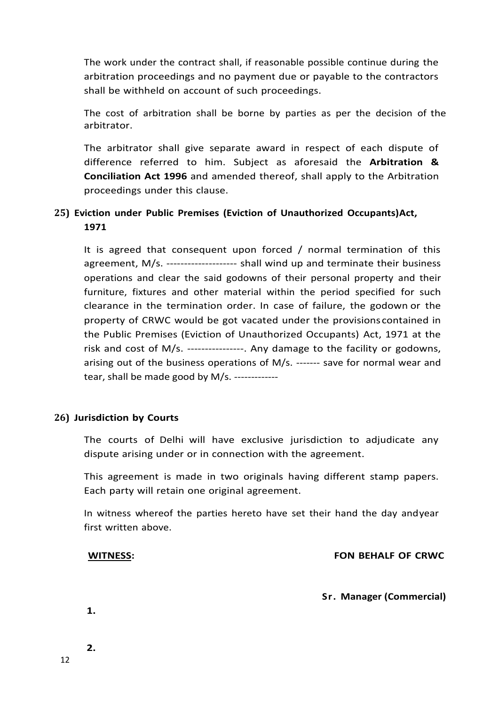The work under the contract shall, if reasonable possible continue during the arbitration proceedings and no payment due or payable to the contractors shall be withheld on account of such proceedings.

The cost of arbitration shall be borne by parties as per the decision of the arbitrator.

The arbitrator shall give separate award in respect of each dispute of difference referred to him. Subject as aforesaid the **Arbitration & Conciliation Act 1996** and amended thereof, shall apply to the Arbitration proceedings under this clause.

### **25) Eviction under Public Premises (Eviction of Unauthorized Occupants)Act, 1971**

It is agreed that consequent upon forced / normal termination of this agreement, M/s. -------------------- shall wind up and terminate their business operations and clear the said godowns of their personal property and their furniture, fixtures and other material within the period specified for such clearance in the termination order. In case of failure, the godown or the property of CRWC would be got vacated under the provisions contained in the Public Premises (Eviction of Unauthorized Occupants) Act, 1971 at the risk and cost of M/s. ----------------. Any damage to the facility or godowns, arising out of the business operations of M/s. ------- save for normal wear and tear, shall be made good by M/s. -------------

#### **26) Jurisdiction by Courts**

The courts of Delhi will have exclusive jurisdiction to adjudicate any dispute arising under or in connection with the agreement.

This agreement is made in two originals having different stamp papers. Each party will retain one original agreement.

In witness whereof the parties hereto have set their hand the day andyear first written above.

#### **WITNESS: FON BEHALF OF CRWC**

**Sr. Manager (Commercial)**

**1.**

**2.**